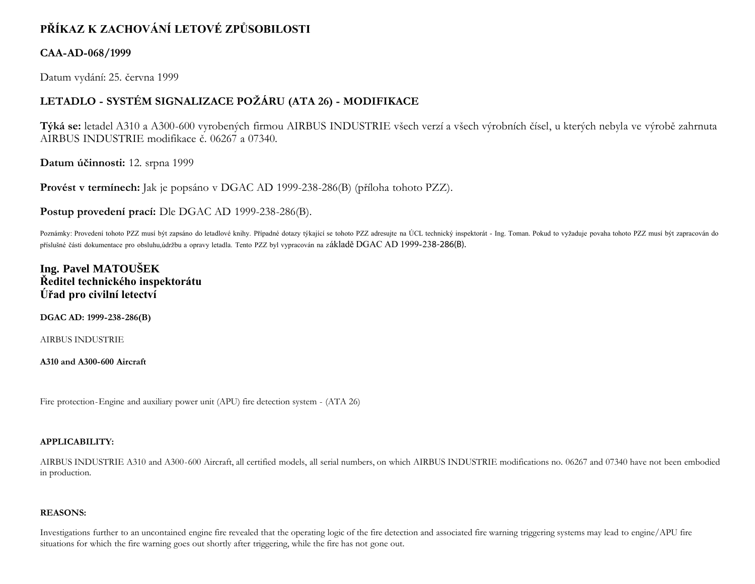# **PŘÍKAZ K ZACHOVÁNÍ LETOVÉ ZPŮSOBILOSTI**

### **CAA-AD-068/1999**

Datum vydání: 25. června 1999

## **LETADLO - SYSTÉM SIGNALIZACE POŽÁRU (ATA 26) - MODIFIKACE**

**Týká se:** letadel A310 a A300-600 vyrobených firmou AIRBUS INDUSTRIE všech verzí a všech výrobních čísel, u kterých nebyla ve výrobě zahrnuta AIRBUS INDUSTRIE modifikace č. 06267 a 07340.

**Datum účinnosti:** 12. srpna 1999

**Provést v termínech:** Jak je popsáno v DGAC AD 1999-238-286(B) (příloha tohoto PZZ).

**Postup provedení prací:** Dle DGAC AD 1999-238-286(B).

Poznámky: Provedení tohoto PZZ musí být zapsáno do letadlové knihy. Případné dotazy týkající se tohoto PZZ adresujte na ÚCL technický inspektorát - Ing. Toman. Pokud to vyžaduje povaha tohoto PZZ musí být zapracován do příslušné části dokumentace pro obsluhu,údržbu a opravy letadla. Tento PZZ byl vypracován na základě DGAC AD 1999-238-286(B).

### **Ing. Pavel MATOUŠEK Ředitel technického inspektorátu Úřad pro civilní letectví**

**DGAC AD: 1999-238-286(B)**

AIRBUS INDUSTRIE

**A310 and A300-600 Aircraft**

Fire protection-Engine and auxiliary power unit (APU) fire detection system - (ATA 26)

#### **APPLICABILITY:**

AIRBUS INDUSTRIE A310 and A300-600 Aircraft, all certified models, all serial numbers, on which AIRBUS INDUSTRIE modifications no. 06267 and 07340 have not been embodied in production.

#### **REASONS:**

Investigations further to an uncontained engine fire revealed that the operating logic of the fire detection and associated fire warning triggering systems may lead to engine/APU fire situations for which the fire warning goes out shortly after triggering, while the fire has not gone out.